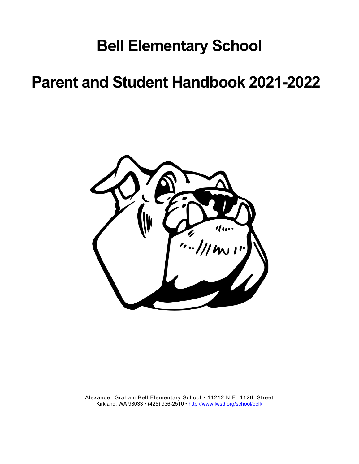# **Bell Elementary School**

# **Parent and Student Handbook 2021-2022**



Alexander Graham Bell Elementary School • 11212 N.E. 112th Street Kirkland, WA 98033 • (425) 936-2510 •<http://www.lwsd.org/school/bell/>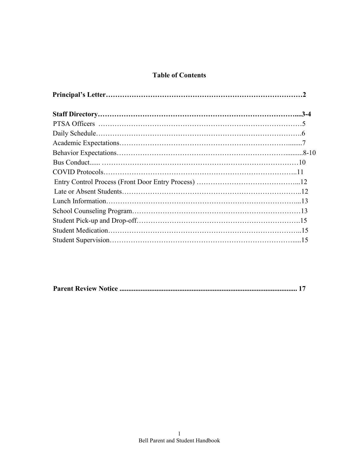# **Table of Contents**

|--|--|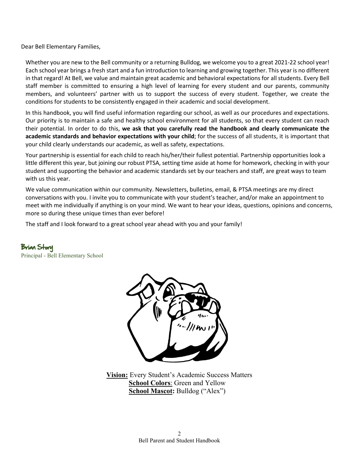Dear Bell Elementary Families,

Whether you are new to the Bell community or a returning Bulldog, we welcome you to a great 2021-22 school year! Each school year brings a fresh start and a fun introduction to learning and growing together. This year is no different in that regard! At Bell, we value and maintain great academic and behavioral expectations for all students. Every Bell staff member is committed to ensuring a high level of learning for every student and our parents, community members, and volunteers' partner with us to support the success of every student. Together, we create the conditions for students to be consistently engaged in their academic and social development.

In this handbook, you will find useful information regarding our school, as well as our procedures and expectations. Our priority is to maintain a safe and healthy school environment for all students, so that every student can reach their potential. In order to do this, **we ask that you carefully read the handbook and clearly communicate the academic standards and behavior expectations with your child**; for the success of all students, it is important that your child clearly understands our academic, as well as safety, expectations.

Your partnership is essential for each child to reach his/her/their fullest potential. Partnership opportunities look a little different this year, but joining our robust PTSA, setting time aside at home for homework, checking in with your student and supporting the behavior and academic standards set by our teachers and staff, are great ways to team with us this year.

We value communication within our community. Newsletters, bulletins, email, & PTSA meetings are my direct conversations with you. I invite you to communicate with your student's teacher, and/or make an appointment to meet with me individually if anything is on your mind. We want to hear your ideas, questions, opinions and concerns, more so during these unique times than ever before!

The staff and I look forward to a great school year ahead with you and your family!

Brian Story Principal - Bell Elementary School



**Vision:** Every Student's Academic Success Matters **School Colors**: Green and Yellow **School Mascot:** Bulldog ("Alex")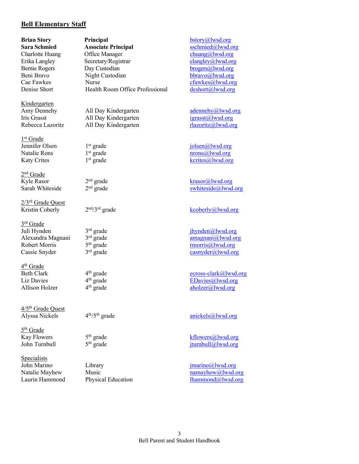#### **Bell Elementary Staff**

**Kindergarten**<br>Amy Dennehy

1<sup>st</sup> Grade<br>Jennifer Olsen

2<sup>nd</sup> Grade<br>Kyle Rasor

2/3rd Grade Quest

3rd Grade

4th Grade Liz Davies 4<sup>th</sup> grade  $\frac{4^{th} \text{ grade}}{4^{th} \text{ grade}}$  EDavies (all wsd.org aholzer all ison Holzer

4/5<sup>th</sup> Grade Quest<br>Alyssa Nickels

5th Grade

Specialists

**Brian Story Principal Principal** bstory **b**story *Principal Principal Principal Principal Principal Principal Principal Principal Principal Principal Principal Principal* **Sara Schmied Associate Principal** [sschmied@lwsd.org](mailto:sschmied@lwsd.org) Charlotte Huang Office Manager chuang chuang Charlotte Huang Office Manager chuang chuang Chuang Chuang Chuang Chuang Chuang Chuang Chuang Chuang Chuang Chuang Chuang Chuang Chuang Chuang Chuang Chuang Chuang Chuang Chuang Erika Langley Secretary/Registrar Bernie Rogers Day Custodian brogers brogers brogers all wsd.org<br>
Beni Bravo Night Custodian brown brown brown brown brown brown brown brown brown brown brown brown brown brown brown brown brown brown brown brown brown brow Beni Bravo Night Custodian [bbravo@lwsd.org](mailto:bbravo@lwsd.org) Cae Fawkes Murse<br>
Denise Short Health Room Office Professional deshort@lwsd.org<br>
deshort@lwsd.org Denise Short Health Room Office Professional

Iris Grasst All Day Kindergarten [igrasst@lwsd.org](mailto:igrasst@lwsd.org) Rebecca Lazoritz All Day Kindergarten [rlazoritz@lwsd.org](mailto:rlazoritz@lwsd.org)

John Marino Library Library interests imaging  $\lim_{n \to \infty}$  imaging  $\lim_{n \to \infty}$  imaging  $\lim_{n \to \infty}$  imaging  $\lim_{n \to \infty}$  imaging  $\lim_{n \to \infty}$  imaging  $\lim_{n \to \infty}$  imaging  $\lim_{n \to \infty}$  imaging  $\lim_{n \to \infty}$  imaging  $\lim_{n \to \$ 

All Day Kindergarten adennehy adennehy adennehy adennehy adennehy adennehy adennehy and solve adennehy adennehy and solve adennehy adennehy and solve adennehy adennehy and solve adennehy and solve and solve and solve and s  $1<sup>st</sup> grade$  jolsen $@$ lwsd.org Natalie Rons 1<sup>st</sup> grade 1 mons (alwsd.org<br>
Katy Crites 1<sup>st</sup> grade 1 mons (alwsd.org<br>
1st grade 1 mons (alwsd.org Katy Crites 1<sup>st</sup> grade [kcrites@lwsd.org](mailto:kcrites@lwsd.org) 2<sup>nd</sup> grade krasor 2<sup>nd</sup> grade krasor 2<sup>nd</sup> grade krasor 2<sup>nd</sup> grade krasor 2<sup>nd</sup> grade krasor 2<sup>nd</sup> grade krasor 2<sup>nd</sup> grade krasor 2nd and 2nd and 2nd and 2nd and 2nd and 2nd and 2nd and 2nd and 2nd and 2nd and 2nd and 2 Sarah Whiteside  $2<sup>nd</sup>$  grade swhiteside $Q$ lwsd.org Kristin Coberly 2<sup>nd</sup>/3<sup>rd</sup> grade [kcoberly@lwsd.org](mailto:kcoberly@lwsd.org) Juli Hynden 3<sup>rd</sup> grade [jhynden@lwsd.org](mailto:jhynden@lwsd.org)<br>Alexandra Magnani 3<sup>rd</sup> grade amagnani@lwsd.org<br>amagnani@lwsd.org Alexandra Magnani 3<sup>rd</sup> grade 3rd [amagnani@lwsd.org](mailto:amagnani@lwsd.org)<br>
Robert Morris 5<sup>th</sup> grade 5<sup>th</sup> grade 7.000 morris 300 morris 300 morris 300 morris 300 morris 300 morris 300 morris 400 morris 400 morris 400 morris 400 morris 400 morr Robert Morris 5<sup>th</sup> grade 5<sup>th</sup> grade [rmorris@lwsd.org](mailto:rmorris@lwsd.org)<br>
Cassie Snyder 3<sup>rd</sup> grade casnyder@lwsd.org Cassie Snyder  $3<sup>rd</sup>$  grade [casnyder@lwsd.org](mailto:casnyder@lwsd.org) Beth Clark 4<sup>th</sup> grade [ecross-clark@lwsd.org](mailto:ecross-clark@lwsd.org)<br>
Liz Davies 4<sup>th</sup> grade EDavies@lwsd.org

Allison Holzer  $4^{th}$  grade [aholzer@lwsd.org](mailto:aholzer@lwsd.org) aholzer@lwsd.org

 $4<sup>th</sup>/5<sup>th</sup>$  grade anickels  $@$  lwsd.org

Kay Flowers  $5<sup>th</sup>$  grade kflowers  $(kflowers@lwsd.org)$  $(kflowers@lwsd.org)$  $(kflowers@lwsd.org)$ John Turnbull 5<sup>th</sup> grade [jturnbull@lwsd.org](mailto:jturnbull@lwsd.org)

Natalie Mayhew Music Natalie Mayhew Music namayhew  $\omega$ lwsd.org Laurin Hammond Physical Education lhammond Physical Physical Education lhammond Physical Physical Education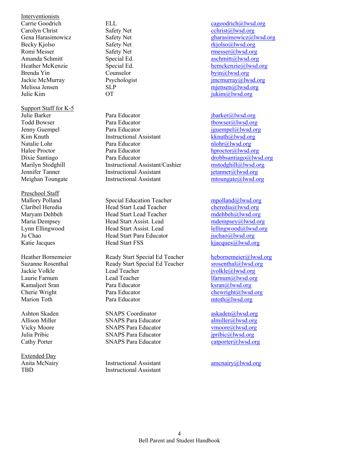Interventionists Carolyn Christ Safety Net Becky Kjolso Safety Net relationship of the set of the set of the set of the set of the set of the set of the set of the set of the set of the set of the set of the set of the set of the set of the set of the set of the se Romi Messer<br>
Amanda Schmitt<br>
Special Ed.<br>
Special Ed.<br>
Special Ed.<br>
Special Ed.<br>
Special Ed.<br>
Special Ed.<br>
Special Ed.<br>
Special Ed. Brenda Yin Counselor Counselor [byin@lwsd.org](mailto:byin@lwsd.org) Melissa Jensen SLP<br>
Melissa Jensen SLP<br>
Melissa Jensen SLP<br>
OT iukim@lwsd.org<br>
iukim@lwsd.org

Support Staff for K-5

Preschool Staff<br>Mallory Polland

Extended Day

Julie Barker **Para Educator** Para Educator *[jbarker@lwsd.org](mailto:jbarker@lwsd.org) jbarker@lwsd.org* Todd Bowser **Para Educator** Para Educator **thowser example 1** the town the town of the Terms of the Para Educator **the Educator** of the terms of the Para Educator **the Educator** of the terms of the terms of the Para Educ Jenny Guempel Para Educator and Para Para Para Educator iguempel@lwsd.org Kim Knuth Instructional Assistant [kknuth@lwsd.org](mailto:kknuth@lwsd.org) Natalie Lohr **Para Educator** [nlohr@lwsd.org](mailto:nlohr@lwsd.org) nlohr@lwsd.org Halee Proctor **Para Educator** Para Educator **hproctor**@lwsd.org Dixie Santiago *Para Educator Para Educator [drobbsantiago@lwsd.org](mailto:drobbsantiago@lwsd.org)*<br>
Marilyn Stodghill **Arizonian Instructional Assistant/Cashier** *drobbsantiago@lwsd.org* Marilyn Stodghill **Instructional Assistant/Cashier** [mstodghill@lwsd.org](mailto:mstodghill@lwsd.org)<br>
Instructional Assistant instructional Cashier metamore instructional Assistant instructional Assistant in the metamore of the metamore of the metamor Jennifer Tanner Instructional Assistant Meighan Toungate **Instructional Assistant** [mtoungate@lwsd.org](mailto:mtoungate@lwsd.org)

Mallory Polland Special Education Teacher mpolland (alwsd.org<br>
Claribel Heredia Head Start Lead Teacher cheredia alwsd.org Head Start Lead Teacher Maryam Dehbeh Head Start Lead Teacher [mdehbeh@lwsd.org](mailto:mdehbeh@lwsd.org) Maria Dempsey **Head Start Assist.** Lead [mdempsey@lwsd.org](mailto:mdempsey@lwsd.org) Lynn Ellingwood Head Start Assist. Lead [lellingwood@lwsd.org](mailto:lellingwood@lwsd.org) Head Start Para Educator Katie Jacques Head Start FSS kjacques (all wsd.org)

Heather Bornemeier Ready Start Special Ed Teacher [hebornemeier@lwsd.org](mailto:hebornemeier@lwsd.org)<br>Suzanne Rosenthal Ready Start Special Ed Teacher special and special Start Special Ed Teacher Suzanne Rosenthal Ready Start Special Ed Teacher Jackie Volkle Lead Teacher [jvolkle@lwsd.org](mailto:jvolkle@lwsd.org) Kamaljeet Sran Para Educator Research Research Research Research Research Research Research Research Research R Cherie Wright Para Educator [chewright@lwsd.org](mailto:chewright@lwsd.org) Marion Toth **Para Educator** Para Educator mtoth $\omega$ lwsd.org

Ashton Skaden SNAPS Coordinator [askaden@lwsd.org](mailto:askaden@lwsd.org)<br>Allison Miller SNAPS Para Educator almiller@lwsd.org Allison Miller SNAPS Para Educator [almiller@lwsd.org](mailto:almiller@lwsd.org)<br>
Vicky Moore SNAPS Para Educator vmoore@lwsd.org Vicky Moore SNAPS Para Educator Julia Pribic SNAPS Para Educator *[jpribic@lwsd.org](mailto:jpribic@lwsd.org)*<br>
Cathy Porter SNAPS Para Educator catoorter@lwsd.org Cathy Porter SNAPS Para Educator

Anita McNairy **Instructional Assistant** [amcnairy@lwsd.org](mailto:amcnairy@lwsd.org) TBD Instructional Assistant

Carrie Goodrich ELL Carrie Goodrich ELL [cagoodrich@lwsd.org](mailto:cagoodrich@lwsd.org)<br>
Carolyn Christ Safety Net Carolyn Christ@lwsd.org Gena Harasimowicz Safety Net [gharasimowicz@lwsd.org](mailto:gharasimowicz@lwsd.org) Special Ed. [aschmitt@lwsd.org](mailto:aschmitt@lwsd.org) Heather McKenzie Special Ed. [hemckenzie@lwsd.org](mailto:hemckenzie@lwsd.org) Jackie McMurray Psychologist in the imcmurray extension of the property imcmurray extension of  $\frac{1}{2}$  Psychologist  $\overline{\text{U}}$  iukim $\omega$ lwsd.org

 $l$ farnum $@$ lwsd.org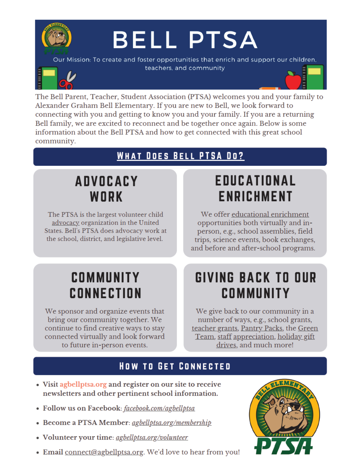

The Bell Parent, Teacher, Student Association (PTSA) welcomes you and your family to Alexander Graham Bell Elementary. If you are new to Bell, we look forward to connecting with you and getting to know you and your family. If you are a returning Bell family, we are excited to reconnect and be together once again. Below is some information about the Bell PTSA and how to get connected with this great school community.

# **WHAT DOES BELL PTSA DO?**

# **ADVOCACY** WORK

The PTSA is the largest volunteer child advocacy organization in the United States. Bell's PTSA does advocacy work at the school, district, and legislative level.

# EDUCATIONAL **ENRICHMENT**

We offer educational enrichment opportunities both virtually and inperson, e.g., school assemblies, field trips, science events, book exchanges, and before and after-school programs.

# COMMUNITY **CONNECTION**

We sponsor and organize events that bring our community together. We continue to find creative ways to stay connected virtually and look forward to future in-person events.

# GIVING BACK TO OUR **COMMUNITY**

We give back to our community in a number of ways, e.g., school grants, teacher grants, Pantry Packs, the Green Team, staff appreciation, holiday gift drives, and much more!

# **HOW TO GET CONNECTED**

- Visit agbellptsa.org and register on our site to receive newsletters and other pertinent school information.
- · Follow us on Facebook: facebook.com/agbellptsa
- Become a PTSA Member: *agbellptsa.org/membership*
- $\overline{5}$ sa.org/counteer
- Email connect@agbellptsa.org. We'd love to hear from you!

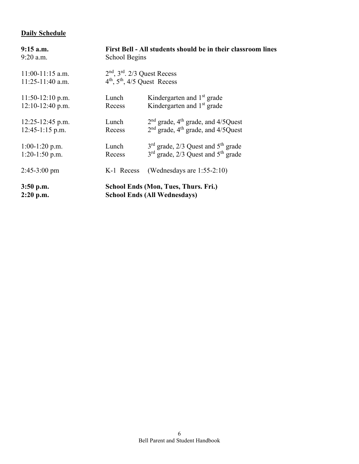# **Daily Schedule**

| $9:15$ a.m.            | First Bell - All students should be in their classroom lines |                                                  |  |
|------------------------|--------------------------------------------------------------|--------------------------------------------------|--|
| $9:20$ a.m.            | School Begins                                                |                                                  |  |
| $11:00-11:15$ a.m.     | $2nd$ , $3rd$ . $2/3$ Quest Recess                           |                                                  |  |
| 11:25-11:40 a.m.       | $4th$ , $5th$ , $4/5$ Quest Recess                           |                                                  |  |
| $11:50-12:10$ p.m.     | Lunch                                                        | Kindergarten and 1 <sup>st</sup> grade           |  |
| $12:10-12:40$ p.m.     | Recess                                                       | Kindergarten and 1 <sup>st</sup> grade           |  |
| $12:25 - 12:45$ p.m.   | Lunch                                                        | $2nd$ grade, 4 <sup>th</sup> grade, and 4/5Quest |  |
| $12:45-1:15$ p.m.      | Recess                                                       | $2nd$ grade, 4 <sup>th</sup> grade, and 4/5Quest |  |
| $1:00-1:20$ p.m.       | Lunch                                                        | $3rd$ grade, 2/3 Quest and $5th$ grade           |  |
| $1:20-1:50$ p.m.       | Recess                                                       | $3rd$ grade, 2/3 Quest and $5th$ grade           |  |
| $2:45-3:00 \text{ pm}$ | K-1 Recess                                                   | (Wednesdays are $1:55-2:10$ )                    |  |
| $3:50$ p.m.            | <b>School Ends (Mon, Tues, Thurs. Fri.)</b>                  |                                                  |  |
| $2:20$ p.m.            | <b>School Ends (All Wednesdays)</b>                          |                                                  |  |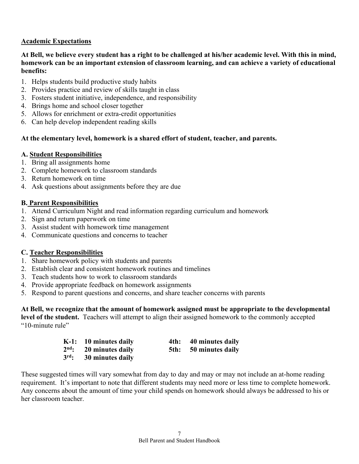# **Academic Expectations**

#### **At Bell, we believe every student has a right to be challenged at his/her academic level. With this in mind, homework can be an important extension of classroom learning, and can achieve a variety of educational benefits:**

- 1. Helps students build productive study habits
- 2. Provides practice and review of skills taught in class
- 3. Fosters student initiative, independence, and responsibility
- 4. Brings home and school closer together
- 5. Allows for enrichment or extra-credit opportunities
- 6. Can help develop independent reading skills

# **At the elementary level, homework is a shared effort of student, teacher, and parents.**

#### **A. Student Responsibilities**

- 1. Bring all assignments home
- 2. Complete homework to classroom standards
- 3. Return homework on time
- 4. Ask questions about assignments before they are due

# **B. Parent Responsibilities**

- 1. Attend Curriculum Night and read information regarding curriculum and homework
- 2. Sign and return paperwork on time
- 3. Assist student with homework time management
- 4. Communicate questions and concerns to teacher

# **C. Teacher Responsibilities**

- 1. Share homework policy with students and parents
- 2. Establish clear and consistent homework routines and timelines
- 3. Teach students how to work to classroom standards
- 4. Provide appropriate feedback on homework assignments
- 5. Respond to parent questions and concerns, and share teacher concerns with parents

**At Bell, we recognize that the amount of homework assigned must be appropriate to the developmental** 

**level of the student.** Teachers will attempt to align their assigned homework to the commonly accepted "10-minute rule"

| K-1: 10 minutes daily    | 4th: 40 minutes daily |
|--------------------------|-----------------------|
| $2nd$ : 20 minutes daily | 5th: 50 minutes daily |
| $3rd$ : 30 minutes daily |                       |

These suggested times will vary somewhat from day to day and may or may not include an at-home reading requirement. It's important to note that different students may need more or less time to complete homework. Any concerns about the amount of time your child spends on homework should always be addressed to his or her classroom teacher.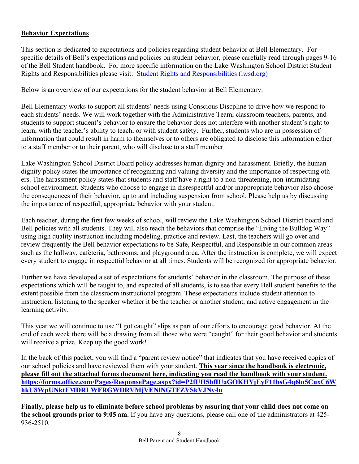# **Behavior Expectations**

This section is dedicated to expectations and policies regarding student behavior at Bell Elementary. For specific details of Bell's expectations and policies on student behavior, please carefully read through pages 9-16 of the Bell Student handbook. For more specific information on the Lake Washington School District Student Rights and Responsibilities please visit: [Student Rights and Responsibilities \(lwsd.org\)](https://www.lwsd.org/programs-and-services/student-services/student-rights-and-responsibilities)

Below is an overview of our expectations for the student behavior at Bell Elementary.

Bell Elementary works to support all students' needs using Conscious Discpline to drive how we respond to each students' needs. We will work together with the Administrative Team, classroom teachers, parents, and students to support student's behavior to ensure the behavior does not interfere with another student's right to learn, with the teacher's ability to teach, or with student safety. Further, students who are in possession of information that could result in harm to themselves or to others are obligated to disclose this information either to a staff member or to their parent, who will disclose to a staff member.

Lake Washington School District Board policy addresses human dignity and harassment. Briefly, the human dignity policy states the importance of recognizing and valuing diversity and the importance of respecting others. The harassment policy states that students and staff have a right to a non-threatening, non-intimidating school environment. Students who choose to engage in disrespectful and/or inappropriate behavior also choose the consequences of their behavior, up to and including suspension from school. Please help us by discussing the importance of respectful, appropriate behavior with your student.

Each teacher, during the first few weeks of school, will review the Lake Washington School District board and Bell policies with all students. They will also teach the behaviors that comprise the "Living the Bulldog Way" using high quality instruction including modeling, practice and review. Last, the teachers will go over and review frequently the Bell behavior expectations to be Safe, Respectful, and Responsible in our common areas such as the hallway, cafeteria, bathrooms, and playground area. After the instruction is complete, we will expect every student to engage in respectful behavior at all times. Students will be recognized for appropriate behavior.

Further we have developed a set of expectations for students' behavior in the classroom. The purpose of these expectations which will be taught to, and expected of all students, is to see that every Bell student benefits to the extent possible from the classroom instructional program. These expectations include student attention to instruction, listening to the speaker whether it be the teacher or another student, and active engagement in the learning activity.

This year we will continue to use "I got caught" slips as part of our efforts to encourage good behavior. At the end of each week there will be a drawing from all those who were "caught" for their good behavior and students will receive a prize. Keep up the good work!

In the back of this packet, you will find a "parent review notice" that indicates that you have received copies of our school policies and have reviewed them with your student. **This year since the handbook is electronic, please fill out the attached forms document here, indicating you read the handbook with your student. [https://forms.office.com/Pages/ResponsePage.aspx?id=P2fUH5bfIUaGOKHYjEyF11bsG4q6lu5CuxC6W](https://forms.office.com/Pages/ResponsePage.aspx?id=P2fUH5bfIUaGOKHYjEyF11bsG4q6lu5CuxC6WhkU8WpUNktFMDRLWFRGWDRVMjVENlNGTFZVSkVJNy4u) [hkU8WpUNktFMDRLWFRGWDRVMjVENlNGTFZVSkVJNy4u](https://forms.office.com/Pages/ResponsePage.aspx?id=P2fUH5bfIUaGOKHYjEyF11bsG4q6lu5CuxC6WhkU8WpUNktFMDRLWFRGWDRVMjVENlNGTFZVSkVJNy4u)**

**Finally, please help us to eliminate before school problems by assuring that your child does not come on the school grounds prior to 9:05 am.** If you have any questions, please call one of the administrators at 425- 936-2510.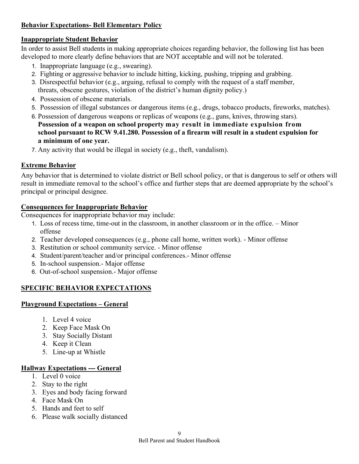# **Behavior Expectations- Bell Elementary Policy**

#### **Inappropriate Student Behavior**

In order to assist Bell students in making appropriate choices regarding behavior, the following list has been developed to more clearly define behaviors that are NOT acceptable and will not be tolerated.

- 1. Inappropriate language (e.g., swearing).
- 2. Fighting or aggressive behavior to include hitting, kicking, pushing, tripping and grabbing.
- 3. Disrespectful behavior (e.g., arguing, refusal to comply with the request of a staff member, threats, obscene gestures, violation of the district's human dignity policy.)
- 4. Possession of obscene materials.
- 5. Possession of illegal substances or dangerous items (e.g., drugs, tobacco products, fireworks, matches).
- 6. Possession of dangerous weapons or replicas of weapons (e.g., guns, knives, throwing stars). **Possession of a weapon on school property may result in immediate expulsion from school pursuant to RCW 9.41.280. Possession of a firearm will result in a student expulsion for a minimum of one year.**
- 7. Any activity that would be illegal in society (e.g., theft, vandalism).

# **Extreme Behavior**

Any behavior that is determined to violate district or Bell school policy, or that is dangerous to self or others will result in immediate removal to the school's office and further steps that are deemed appropriate by the school's principal or principal designee.

# **Consequences for Inappropriate Behavior**

Consequences for inappropriate behavior may include:

- 1. Loss of recess time, time-out in the classroom, in another classroom or in the office. Minor offense
- 2. Teacher developed consequences (e.g., phone call home, written work). Minor offense
- 3. Restitution or school community service. Minor offense
- 4. Student/parent/teacher and/or principal conferences.- Minor offense
- 5. In-school suspension.- Major offense
- 6. Out-of-school suspension.- Major offense

# **SPECIFIC BEHAVIOR EXPECTATIONS**

#### **Playground Expectations – General**

- 1. Level 4 voice
- 2. Keep Face Mask On
- 3. Stay Socially Distant
- 4. Keep it Clean
- 5. Line-up at Whistle

# **Hallway Expectations --- General**

- 1. Level 0 voice
- 2. Stay to the right
- 3. Eyes and body facing forward
- 4. Face Mask On
- 5. Hands and feet to self
- 6. Please walk socially distanced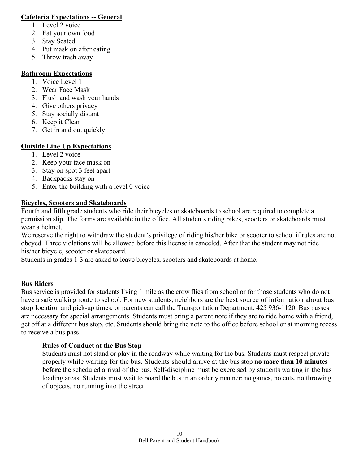#### **Cafeteria Expectations -- General**

- 1. Level 2 voice
- 2. Eat your own food
- 3. Stay Seated
- 4. Put mask on after eating
- 5. Throw trash away

# **Bathroom Expectations**

- 1. Voice Level 1
- 2. Wear Face Mask
- 3. Flush and wash your hands
- 4. Give others privacy
- 5. Stay socially distant
- 6. Keep it Clean
- 7. Get in and out quickly

# **Outside Line Up Expectations**

- 1. Level 2 voice
- 2. Keep your face mask on
- 3. Stay on spot 3 feet apart
- 4. Backpacks stay on
- 5. Enter the building with a level 0 voice

# **Bicycles, Scooters and Skateboards**

Fourth and fifth grade students who ride their bicycles or skateboards to school are required to complete a permission slip. The forms are available in the office. All students riding bikes, scooters or skateboards must wear a helmet.

We reserve the right to withdraw the student's privilege of riding his/her bike or scooter to school if rules are not obeyed. Three violations will be allowed before this license is canceled. After that the student may not ride his/her bicycle, scooter or skateboard.

Students in grades 1-3 are asked to leave bicycles, scooters and skateboards at home.

# **Bus Riders**

Bus service is provided for students living 1 mile as the crow flies from school or for those students who do not have a safe walking route to school. For new students, neighbors are the best source of information about bus stop location and pick-up times, or parents can call the Transportation Department, 425 936-1120. Bus passes are necessary for special arrangements. Students must bring a parent note if they are to ride home with a friend, get off at a different bus stop, etc. Students should bring the note to the office before school or at morning recess to receive a bus pass.

# **Rules of Conduct at the Bus Stop**

Students must not stand or play in the roadway while waiting for the bus. Students must respect private property while waiting for the bus. Students should arrive at the bus stop **no more than 10 minutes before** the scheduled arrival of the bus. Self-discipline must be exercised by students waiting in the bus loading areas. Students must wait to board the bus in an orderly manner; no games, no cuts, no throwing of objects, no running into the street.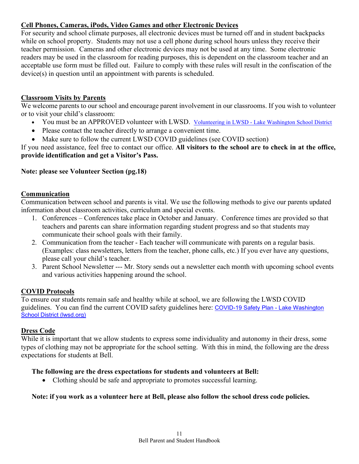#### **Cell Phones, Cameras, iPods, Video Games and other Electronic Devices**

For security and school climate purposes, all electronic devices must be turned off and in student backpacks while on school property. Students may not use a cell phone during school hours unless they receive their teacher permission. Cameras and other electronic devices may not be used at any time. Some electronic readers may be used in the classroom for reading purposes, this is dependent on the classroom teacher and an acceptable use form must be filled out. Failure to comply with these rules will result in the confiscation of the device(s) in question until an appointment with parents is scheduled.

#### **Classroom Visits by Parents**

We welcome parents to our school and encourage parent involvement in our classrooms. If you wish to volunteer or to visit your child's classroom:

- You must be an APPROVED volunteer with LWSD. Volunteering in LWSD [Lake Washington School District](https://www.lwsd.org/get-involved/volunteering-in-lwsd)
- Please contact the teacher directly to arrange a convenient time.
- Make sure to follow the current LWSD COVID guidelines (see COVID section)

If you need assistance, feel free to contact our office. **All visitors to the school are to check in at the office, provide identification and get a Visitor's Pass.** 

# **Note: please see Volunteer Section (pg.18)**

#### **Communication**

Communication between school and parents is vital. We use the following methods to give our parents updated information about classroom activities, curriculum and special events.

- 1. Conferences Conferences take place in October and January. Conference times are provided so that teachers and parents can share information regarding student progress and so that students may communicate their school goals with their family.
- 2. Communication from the teacher Each teacher will communicate with parents on a regular basis. (Examples: class newsletters, letters from the teacher, phone calls, etc.) If you ever have any questions, please call your child's teacher.
- 3. Parent School Newsletter --- Mr. Story sends out a newsletter each month with upcoming school events and various activities happening around the school.

#### **COVID Protocols**

To ensure our students remain safe and healthy while at school, we are following the LWSD COVID guidelines. You can find the current COVID safety guidelines here: [COVID-19 Safety Plan -](https://www.lwsd.org/get-involved/task-forces/return-to-school-task-force/covid-19-safety-plan) Lake Washington [School District \(lwsd.org\)](https://www.lwsd.org/get-involved/task-forces/return-to-school-task-force/covid-19-safety-plan)

#### **Dress Code**

While it is important that we allow students to express some individuality and autonomy in their dress, some types of clothing may not be appropriate for the school setting. With this in mind, the following are the dress expectations for students at Bell.

#### **The following are the dress expectations for students and volunteers at Bell:**

• Clothing should be safe and appropriate to promotes successful learning.

#### **Note: if you work as a volunteer here at Bell, please also follow the school dress code policies.**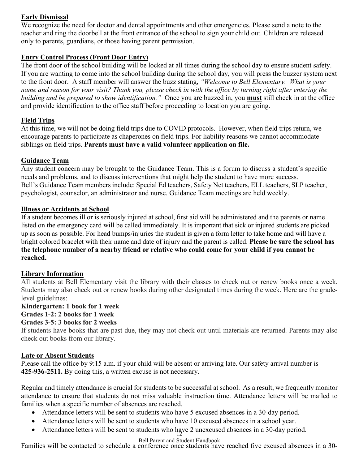# **Early Dismissal**

We recognize the need for doctor and dental appointments and other emergencies. Please send a note to the teacher and ring the doorbell at the front entrance of the school to sign your child out. Children are released only to parents, guardians, or those having parent permission.

# **Entry Control Process (Front Door Entry)**

The front door of the school building will be locked at all times during the school day to ensure student safety. If you are wanting to come into the school building during the school day, you will press the buzzer system next to the front door. A staff member will answer the buzz stating, *"Welcome to Bell Elementary. What is your name and reason for your visit? Thank you, please check in with the office by turning right after entering the building and be prepared to show identification."* Once you are buzzed in, you **must** still check in at the office and provide identification to the office staff before proceeding to location you are going.

# **Field Trips**

At this time, we will not be doing field trips due to COVID protocols. However, when field trips return, we encourage parents to participate as chaperones on field trips. For liability reasons we cannot accommodate siblings on field trips. **Parents must have a valid volunteer application on file.**

# **Guidance Team**

Any student concern may be brought to the Guidance Team. This is a forum to discuss a student's specific needs and problems, and to discuss interventions that might help the student to have more success. Bell's Guidance Team members include: Special Ed teachers, Safety Net teachers, ELL teachers, SLP teacher, psychologist, counselor, an administrator and nurse. Guidance Team meetings are held weekly.

#### **Illness or Accidents at School**

If a student becomes ill or is seriously injured at school, first aid will be administered and the parents or name listed on the emergency card will be called immediately. It is important that sick or injured students are picked up as soon as possible. For head bumps/injuries the student is given a form letter to take home and will have a bright colored bracelet with their name and date of injury and the parent is called. **Please be sure the school has the telephone number of a nearby friend or relative who could come for your child if you cannot be reached.**

#### **Library Information**

All students at Bell Elementary visit the library with their classes to check out or renew books once a week. Students may also check out or renew books during other designated times during the week. Here are the gradelevel guidelines:

#### **Kindergarten: 1 book for 1 week Grades 1-2: 2 books for 1 week**

#### **Grades 3-5: 3 books for 2 weeks**

If students have books that are past due, they may not check out until materials are returned. Parents may also check out books from our library.

#### **Late or Absent Students**

Please call the office by 9:15 a.m. if your child will be absent or arriving late. Our safety arrival number is **425-936-2511.** By doing this, a written excuse is not necessary.

Regular and timely attendance is crucial for students to be successful at school. As a result, we frequently monitor attendance to ensure that students do not miss valuable instruction time. Attendance letters will be mailed to families when a specific number of absences are reached.

- Attendance letters will be sent to students who have 5 excused absences in a 30-day period.
- Attendance letters will be sent to students who have 10 excused absences in a school year.
- Attendance letters will be sent to students who have 2 unexcused absences in a 30-day period.

#### Bell Parent and Student Handbook

Families will be contacted to schedule a conference once students have reached five excused absences in a 30-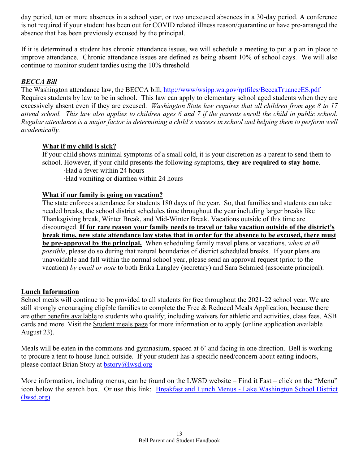day period, ten or more absences in a school year, or two unexcused absences in a 30-day period. A conference is not required if your student has been out for COVID related illness reason/quarantine or have pre-arranged the absence that has been previously excused by the principal.

If it is determined a student has chronic attendance issues, we will schedule a meeting to put a plan in place to improve attendance. Chronic attendance issues are defined as being absent 10% of school days. We will also continue to monitor student tardies using the 10% threshold.

# *BECCA Bill*

The Washington attendance law, the BECCA bill,<http://www/wsipp.wa.gov/rptfiles/BeccaTruanceES.pdf> Requires students by law to be in school. This law can apply to elementary school aged students when they are excessively absent even if they are excused. *Washington State law requires that all children from age 8 to 17 attend school. This law also applies to children ages 6 and 7 if the parents enroll the child in public school. Regular attendance is a major factor in determining a child's success in school and helping them to perform well academically.*

#### **What if my child is sick?**

If your child shows minimal symptoms of a small cold, it is your discretion as a parent to send them to school. However, if your child presents the following symptoms, **they are required to stay home**.

·Had a fever within 24 hours

·Had vomiting or diarrhea within 24 hours

#### **What if our family is going on vacation?**

The state enforces attendance for students 180 days of the year. So, that families and students can take needed breaks, the school district schedules time throughout the year including larger breaks like Thanksgiving break, Winter Break, and Mid-Winter Break. Vacations outside of this time are discouraged. **If for rare reason your family needs to travel or take vacation outside of the district's break time, new state attendance law states that in order for the absence to be excused, there must be pre-approval by the principal.** When scheduling family travel plans or vacations, *when at all possible*, please do so during that natural boundaries of district scheduled breaks. If your plans are unavoidable and fall within the normal school year, please send an approval request (prior to the vacation) *by email or note* to both Erika Langley (secretary) and Sara Schmied (associate principal).

#### **Lunch Information**

School meals will continue to be provided to all students for free throughout the 2021-22 school year. We are still strongly encouraging eligible families to complete the Free & Reduced Meals Application, because there are [other benefits available](https://resources.finalsite.net/images/f_auto,q_auto/v1602889604/lwsdorg/eaxjp0rl8sqftk3ckrqt/MTAM-Flyer-English.png) to students who qualify; including waivers for athletic and activities, class fees, ASB cards and more. Visit the [Student meals page](https://www.lwsd.org/fs/pages/9635) for more information or to apply (online application available August 23).

Meals will be eaten in the commons and gymnasium, spaced at 6' and facing in one direction. Bell is working to procure a tent to house lunch outside. If your student has a specific need/concern about eating indoors, please contact Brian Story at [bstory@lwsd.org](mailto:bstory@lwsd.org)

More information, including menus, can be found on the LWSD website – Find it Fast – click on the "Menu" icon below the search box. Or use this link: Breakfast and Lunch Menus - [Lake Washington School District](https://www.lwsd.org/students-families/breakfast-and-lunch-menus)  [\(lwsd.org\)](https://www.lwsd.org/students-families/breakfast-and-lunch-menus)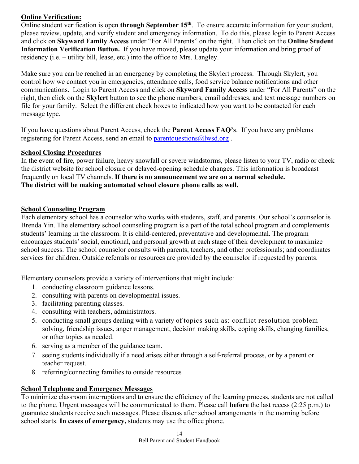# **Online Verification:**

Online student verification is open **through September 15th**. To ensure accurate information for your student, please review, update, and verify student and emergency information. To do this, please login to Parent Access and click on **Skyward Family Access** under "For All Parents" on the right. Then click on the **Online Student Information Verification Button.** If you have moved, please update your information and bring proof of residency (i.e. – utility bill, lease, etc.) into the office to Mrs. Langley.

Make sure you can be reached in an emergency by completing the Skylert process. Through Skylert, you control how we contact you in emergencies, attendance calls, food service balance notifications and other communications. Login to Parent Access and click on **Skyward Family Access** under "For All Parents" on the right, then click on the **Skylert** button to see the phone numbers, email addresses, and text message numbers on file for your family. Select the different check boxes to indicated how you want to be contacted for each message type.

If you have questions about Parent Access, check the **Parent Access FAQ's**. If you have any problems registering for Parent Access, send an email to parent questions @lwsd.org.

# **School Closing Procedures**

In the event of fire, power failure, heavy snowfall or severe windstorms, please listen to your TV, radio or check the district website for school closure or delayed-opening schedule changes. This information is broadcast frequently on local TV channels. **If there is no announcement we are on a normal schedule. The district will be making automated school closure phone calls as well.** 

# **School Counseling Program**

Each elementary school has a counselor who works with students, staff, and parents. Our school's counselor is Brenda Yin. The elementary school counseling program is a part of the total school program and complements students' learning in the classroom. It is child-centered, preventative and developmental. The program encourages students' social, emotional, and personal growth at each stage of their development to maximize school success. The school counselor consults with parents, teachers, and other professionals; and coordinates services for children. Outside referrals or resources are provided by the counselor if requested by parents.

Elementary counselors provide a variety of interventions that might include:

- 1. conducting classroom guidance lessons.
- 2. consulting with parents on developmental issues.
- 3. facilitating parenting classes.
- 4. consulting with teachers, administrators.
- 5. conducting small groups dealing with a variety of topics such as: conflict resolution problem solving, friendship issues, anger management, decision making skills, coping skills, changing families, or other topics as needed.
- 6. serving as a member of the guidance team.
- 7. seeing students individually if a need arises either through a self-referral process, or by a parent or teacher request.
- 8. referring/connecting families to outside resources

#### **School Telephone and Emergency Messages**

To minimize classroom interruptions and to ensure the efficiency of the learning process, students are not called to the phone. Urgent messages will be communicated to them. Please call **before** the last recess (2:25 p.m.) to guarantee students receive such messages. Please discuss after school arrangements in the morning before school starts. **In cases of emergency,** students may use the office phone.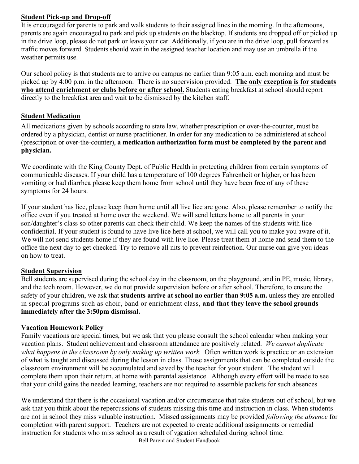#### **Student Pick-up and Drop-off**

It is encouraged for parents to park and walk students to their assigned lines in the morning. In the afternoons, parents are again encouraged to park and pick up students on the blacktop. If students are dropped off or picked up in the drive loop, please do not park or leave your car. Additionally, if you are in the drive loop, pull forward as traffic moves forward. Students should wait in the assigned teacher location and may use an umbrella if the weather permits use.

Our school policy is that students are to arrive on campus no earlier than 9:05 a.m. each morning and must be picked up by 4:00 p.m. in the afternoon. There is no supervision provided. **The only exception is for students who attend enrichment or clubs before or after school.** Students eating breakfast at school should report directly to the breakfast area and wait to be dismissed by the kitchen staff.

# **Student Medication**

All medications given by schools according to state law, whether prescription or over-the-counter, must be ordered by a physician, dentist or nurse practitioner. In order for any medication to be administered at school (prescription or over-the-counter), **a medication authorization form must be completed by the parent and physician.**

We coordinate with the King County Dept. of Public Health in protecting children from certain symptoms of communicable diseases. If your child has a temperature of 100 degrees Fahrenheit or higher, or has been vomiting or had diarrhea please keep them home from school until they have been free of any of these symptoms for 24 hours.

If your student has lice, please keep them home until all live lice are gone. Also, please remember to notify the office even if you treated at home over the weekend. We will send letters home to all parents in your son/daughter's class so other parents can check their child. We keep the names of the students with lice confidential. If your student is found to have live lice here at school, we will call you to make you aware of it. We will not send students home if they are found with live lice. Please treat them at home and send them to the office the next day to get checked. Try to remove all nits to prevent reinfection. Our nurse can give you ideas on how to treat.

# **Student Supervision**

Bell students are supervised during the school day in the classroom, on the playground, and in PE, music, library, and the tech room. However, we do not provide supervision before or after school. Therefore, to ensure the safety of your children, we ask that **students arrive at school no earlier than 9:05 a.m.** unless they are enrolled in special programs such as choir, band or enrichment class, **and that they leave the school grounds immediately after the 3:50pm dismissal.** 

#### **Vacation Homework Policy**

Family vacations are special times, but we ask that you please consult the school calendar when making your vacation plans. Student achievement and classroom attendance are positively related. *We cannot duplicate what happens in the classroom by only making up written work.* Often written work is practice or an extension of what is taught and discussed during the lesson in class. Those assignments that can be completed outside the classroom environment will be accumulated and saved by the teacher for your student. The student will complete them upon their return, at home with parental assistance. Although every effort will be made to see that your child gains the needed learning, teachers are not required to assemble packets for such absences

instruction for students who miss school as a result of vacation scheduled during school time. We understand that there is the occasional vacation and/or circumstance that take students out of school, but we ask that you think about the repercussions of students missing this time and instruction in class. When students are not in school they miss valuable instruction. Missed assignments may be provided *following the absence* for completion with parent support. Teachers are not expected to create additional assignments or remedial

Bell Parent and Student Handbook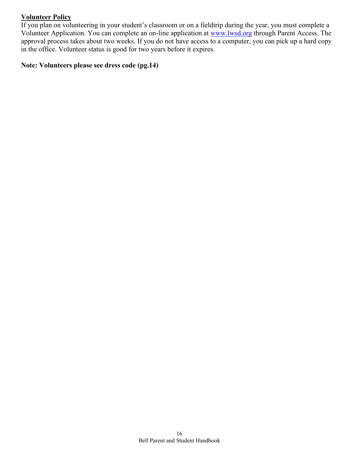#### **Volunteer Policy**

If you plan on volunteering in your student's classroom or on a fieldtrip during the year, you must complete a Volunteer Application. You can complete an on-line application at [www.lwsd.org](http://www.lwsd.org/) through Parent Access. The approval process takes about two weeks. If you do not have access to a computer, you can pick up a hard copy in the office. Volunteer status is good for two years before it expires.

# **Note: Volunteers please see dress code (pg.14)**